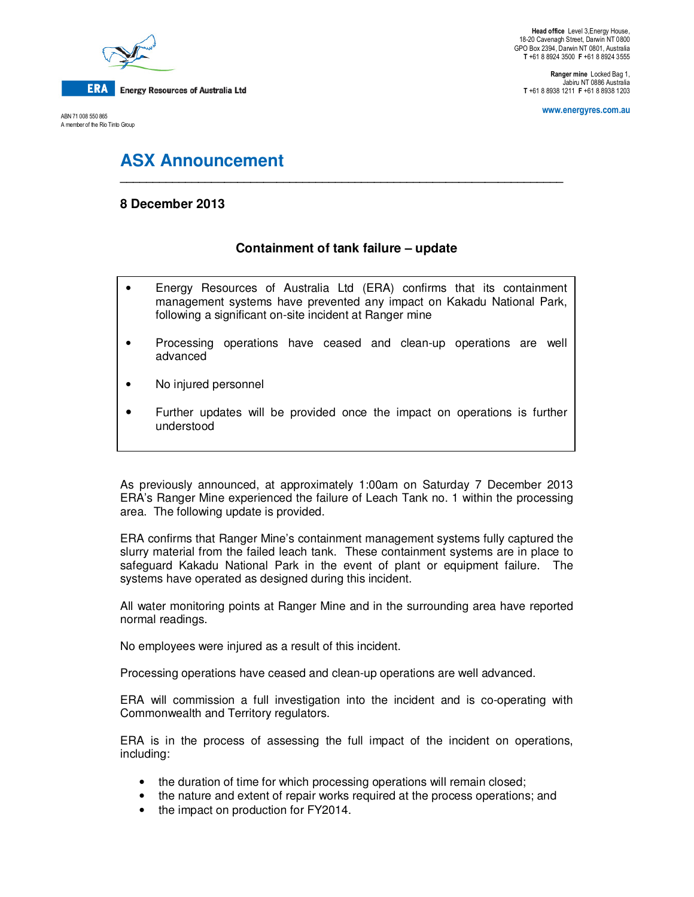

ABN 71 008 550 865 A member of the Rio Tinto Group

**Ranger mine** Locked Bag 1, Jabiru NT 0886 Australia **T** +61 8 8938 1211 **F** +61 8 8938 1203

**www.energyres.com.au** 

# **ASX Announcement**

## **8 December 2013**

## **Containment of tank failure – update**

**\_\_\_\_\_\_\_\_\_\_\_\_\_\_\_\_\_\_\_\_\_\_\_\_\_\_\_\_\_\_\_\_\_\_\_\_\_\_\_\_\_\_\_\_\_\_\_\_\_\_\_\_\_\_\_\_\_\_\_\_\_\_\_\_\_\_\_\_** 

- Energy Resources of Australia Ltd (ERA) confirms that its containment management systems have prevented any impact on Kakadu National Park, following a significant on-site incident at Ranger mine
- Processing operations have ceased and clean-up operations are well advanced
- No injured personnel
- Further updates will be provided once the impact on operations is further understood

As previously announced, at approximately 1:00am on Saturday 7 December 2013 ERA's Ranger Mine experienced the failure of Leach Tank no. 1 within the processing area. The following update is provided.

ERA confirms that Ranger Mine's containment management systems fully captured the slurry material from the failed leach tank. These containment systems are in place to safeguard Kakadu National Park in the event of plant or equipment failure. The systems have operated as designed during this incident.

All water monitoring points at Ranger Mine and in the surrounding area have reported normal readings.

No employees were injured as a result of this incident.

Processing operations have ceased and clean-up operations are well advanced.

ERA will commission a full investigation into the incident and is co-operating with Commonwealth and Territory regulators.

ERA is in the process of assessing the full impact of the incident on operations, including:

- the duration of time for which processing operations will remain closed;
- the nature and extent of repair works required at the process operations; and
- the impact on production for FY2014.